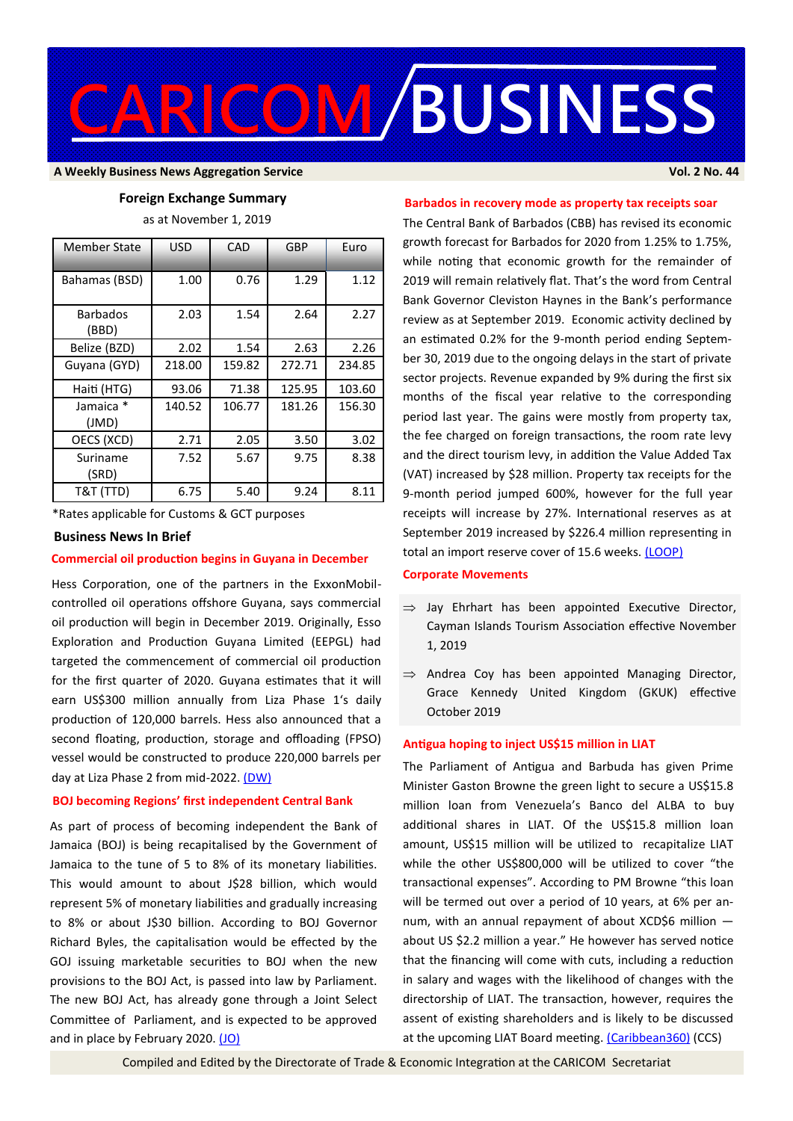

#### **A Weekly Business News Aggregation Service Vol. 2 No. 44**

## **Foreign Exchange Summary**

as at November 1, 2019

| Member State             | <b>USD</b> | CAD    | GBP    | Euro   |
|--------------------------|------------|--------|--------|--------|
| Bahamas (BSD)            | 1.00       | 0.76   | 1.29   | 1.12   |
| <b>Barbados</b><br>(BBD) | 2.03       | 1.54   | 2.64   | 2.27   |
| Belize (BZD)             | 2.02       | 1.54   | 2.63   | 2.26   |
| Guyana (GYD)             | 218.00     | 159.82 | 272.71 | 234.85 |
| Haiti (HTG)              | 93.06      | 71.38  | 125.95 | 103.60 |
| Jamaica *<br>(JMD)       | 140.52     | 106.77 | 181.26 | 156.30 |
| OECS (XCD)               | 2.71       | 2.05   | 3.50   | 3.02   |
| Suriname<br>(SRD)        | 7.52       | 5.67   | 9.75   | 8.38   |
| T&T (TTD)                | 6.75       | 5.40   | 9.24   | 8.11   |

\*Rates applicable for Customs & GCT purposes

#### **Business News In Brief**

## **Commercial oil production begins in Guyana in December**

Hess Corporation, one of the partners in the ExxonMobilcontrolled oil operations offshore Guyana, says commercial oil production will begin in December 2019. Originally, Esso Exploration and Production Guyana Limited (EEPGL) had targeted the commencement of commercial oil production for the first quarter of 2020. Guyana estimates that it will earn US\$300 million annually from Liza Phase 1's daily production of 120,000 barrels. Hess also announced that a second floating, production, storage and offloading (FPSO) vessel would be constructed to produce 220,000 barrels per day at Liza Phase 2 from mid-2022. [\(DW\)](https://demerarawaves.com/2019/10/30/commercial-oil-production-begins-offshore-guyana-in-december-2019/)

#### **BOJ becoming Regions' first independent Central Bank**

As part of process of becoming independent the Bank of Jamaica (BOJ) is being recapitalised by the Government of Jamaica to the tune of 5 to 8% of its monetary liabilities. This would amount to about J\$28 billion, which would represent 5% of monetary liabilities and gradually increasing to 8% or about J\$30 billion. According to BOJ Governor Richard Byles, the capitalisation would be effected by the GOJ issuing marketable securities to BOJ when the new provisions to the BOJ Act, is passed into law by Parliament. The new BOJ Act, has already gone through a Joint Select Committee of Parliament, and is expected to be approved and in place by February 2020. [\(JO\)](http://www.jamaicaobserver.com/business-report-daily-biz/boj-far-advanced-in-being-recapitalised-to-the-tune-of-over-28-billion-jamaica-officially-ends-imf-precautionary-stand-by-arrangement-tomorrow_178599?profile=1056)

## **Barbados in recovery mode as property tax receipts soar**

The Central Bank of Barbados (CBB) has revised its economic growth forecast for Barbados for 2020 from 1.25% to 1.75%, while noting that economic growth for the remainder of 2019 will remain relatively flat. That's the word from Central Bank Governor Cleviston Haynes in the Bank's performance review as at September 2019. Economic activity declined by an estimated 0.2% for the 9-month period ending September 30, 2019 due to the ongoing delays in the start of private sector projects. Revenue expanded by 9% during the first six months of the fiscal year relative to the corresponding period last year. The gains were mostly from property tax, the fee charged on foreign transactions, the room rate levy and the direct tourism levy, in addition the Value Added Tax (VAT) increased by \$28 million. Property tax receipts for the 9-month period jumped 600%, however for the full year receipts will increase by 27%. International reserves as at September 2019 increased by \$226.4 million representing in total an import reserve cover of 15.6 weeks. [\(LOOP\)](http://www.loopnewsbarbados.com/content/cbb-still-some-economic-hurdles-overcome-0)

## **Corporate Movements**

- $\Rightarrow$  Jay Ehrhart has been appointed Executive Director. Cayman Islands Tourism Association effective November 1, 2019
- $\Rightarrow$  Andrea Coy has been appointed Managing Director, Grace Kennedy United Kingdom (GKUK) effective October 2019

## **Antigua hoping to inject US\$15 million in LIAT**

The Parliament of Antigua and Barbuda has given Prime Minister Gaston Browne the green light to secure a US\$15.8 million loan from Venezuela's Banco del ALBA to buy additional shares in LIAT. Of the US\$15.8 million loan amount, US\$15 million will be utilized to recapitalize LIAT while the other US\$800,000 will be utilized to cover "the transactional expenses". According to PM Browne "this loan will be termed out over a period of 10 years, at 6% per annum, with an annual repayment of about XCD\$6 million  $$ about US \$2.2 million a year." He however has served notice that the financing will come with cuts, including a reduction in salary and wages with the likelihood of changes with the directorship of LIAT. The transaction, however, requires the assent of existing shareholders and is likely to be discussed at the upcoming LIAT Board meeting. [\(Caribbean360\)](http://www.caribbean360.com/news/antigua-government-gets-nod-to-pump-us15-million-into-liat-but-there-will-be-pay-cuts-and-other-changes#ixzz63ygofHyN) (CCS)